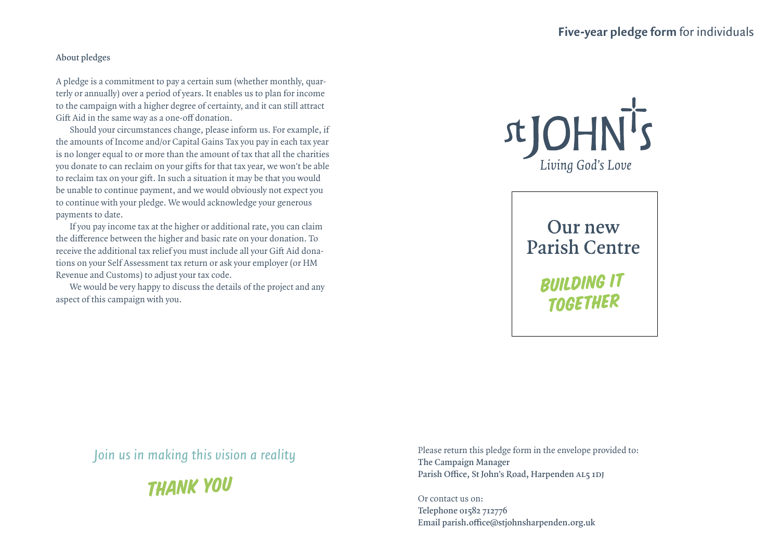## **About pledges**

A pledge is a commitment to pay a certain sum (whether monthly, quarterly or annually) over a period of years. It enables us to plan for income to the campaign with a higher degree of certainty, and it can still attract Gift Aid in the same way as a one-off donation.

Should your circumstances change, please inform us. For example, if the amounts of Income and/or Capital Gains Tax you pay in each tax year is no longer equal to or more than the amount of tax that all the charities you donate to can reclaim on your gifts for that tax year, we won't be able to reclaim tax on your gift. In such a situation it may be that you would be unable to continue payment, and we would obviously not expect you to continue with your pledge. We would acknowledge your generous payments to date.

If you pay income tax at the higher or additional rate, you can claim the difference between the higher and basic rate on your donation. To receive the additional tax relief you must include all your Gift Aid donations on your Self Assessment tax return or ask your employer (or HM Revenue and Customs) to adjust your tax code.

We would be very happy to discuss the details of the project and any aspect of this campaign with you.



**Our new Parish Centre** 

> **BUILDING IT TOGETHER**

*Join us in making this vision a reality*



Please return this pledge form in the envelope provided to: **The Campaign Manager Parish Office, St John's Road, Harpenden AL5 1DJ**

Or contact us on: **Telephone 01582 712776 Email parish.office@stjohnsharpenden.org.uk**